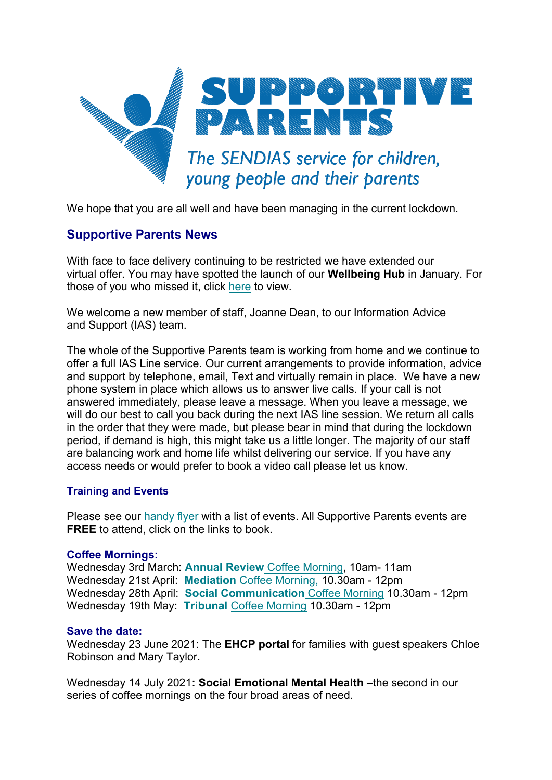

We hope that you are all well and have been managing in the current lockdown.

# **Supportive Parents News**

With face to face delivery continuing to be restricted we have extended our virtual offer. You may have spotted the launch of our **Wellbeing Hub** in January. For those of you who missed it, click [here](https://www.supportiveparents.org.uk/) to view.

We welcome a new member of staff, Joanne Dean, to our Information Advice and Support (IAS) team.

The whole of the Supportive Parents team is working from home and we continue to offer a full IAS Line service. Our current arrangements to provide information, advice and support by telephone, email, Text and virtually remain in place. We have a new phone system in place which allows us to answer live calls. If your call is not answered immediately, please leave a message. When you leave a message, we will do our best to call you back during the next IAS line session. We return all calls in the order that they were made, but please bear in mind that during the lockdown period, if demand is high, this might take us a little longer. The majority of our staff are balancing work and home life whilst delivering our service. If you have any access needs or would prefer to book a video call please let us know.

## **Training and Events**

Please see our [handy flyer](https://www.supportiveparents.org.uk/wp-content/uploads/2021/01/Bristol-2021-Events-w_-hyperlinks-3.pdf) with a list of events. All Supportive Parents events are **FREE** to attend, click on the links to book.

## **Coffee Mornings:**

Wednesday 3rd March: **[Annual Review](https://www.eventbrite.co.uk/e/bristol-annual-review-coffee-morning-tickets-129206150073)** Coffee Morning, 10am- 11am Wednesday 21st April: **Mediation** [Coffee Morning,](https://www.eventbrite.co.uk/e/mediation-coffee-morning-tickets-138738042219) 10.30am - 12pm Wednesday 28th April: **[Social Communication](https://www.eventbrite.co.uk/e/social-communication-coffee-morning-tickets-138739017135)** Coffee Morning 10.30am - 12pm Wednesday 19th May: **Tribunal** [Coffee Morning](https://www.eventbrite.co.uk/e/tribunal-coffee-morning-tickets-138738842613) 10.30am - 12pm

## **Save the date:**

Wednesday 23 June 2021: The **EHCP portal** for families with guest speakers Chloe Robinson and Mary Taylor.

Wednesday 14 July 2021**: Social Emotional Mental Health** –the second in our series of coffee mornings on the four broad areas of need.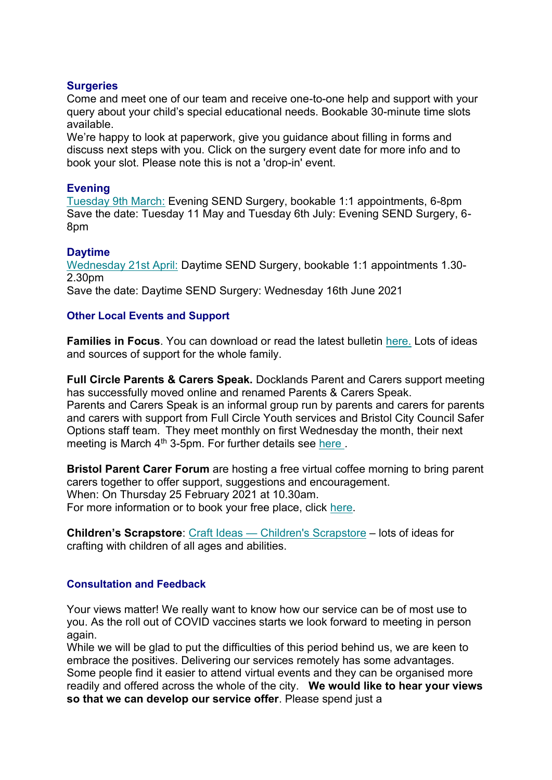#### **Surgeries**

Come and meet one of our team and receive one-to-one help and support with your query about your child's special educational needs. Bookable 30-minute time slots available.

We're happy to look at paperwork, give you guidance about filling in forms and discuss next steps with you. Click on the surgery event date for more info and to book your slot. Please note this is not a 'drop-in' event.

## **Evening**

[Tuesday 9th March:](https://www.eventbrite.co.uk/e/bristol-evening-send-surgery-virtual-or-phone-tuesday-9th-march-2021-tickets-129205524201) Evening SEND Surgery, bookable 1:1 appointments, 6-8pm Save the date: Tuesday 11 May and Tuesday 6th July: Evening SEND Surgery, 6- 8pm

# **Daytime**

[Wednesday 21st April:](https://www.eventbrite.co.uk/e/bristol-daytime-send-surgery-virtual-or-phone-wednesday-21st-april-2021-tickets-138775161243) Daytime SEND Surgery, bookable 1:1 appointments 1.30- 2.30pm Save the date: Daytime SEND Surgery: Wednesday 16th June 2021

## **Other Local Events and Support**

**Families in Focus**. You can download or read the latest bulletin [here.](https://www.supportiveparents.org.uk/families-in-focus-bulletin/) Lots of ideas and sources of support for the whole family.

**Full Circle Parents & Carers Speak.** Docklands Parent and Carers support meeting has successfully moved online and renamed Parents & Carers Speak. Parents and Carers Speak is an informal group run by parents and carers for parents and carers with support from Full Circle Youth services and Bristol City Council Safer Options staff team.  They meet monthly on first Wednesday the month, their next meeting is March 4<sup>th</sup> 3-5pm. For further details see [here](https://drive.google.com/file/d/1YKMwMbG1zY4qrDU0AA_mSX9L-fGTi8Rl/view).

**Bristol Parent Carer Forum** are hosting a free virtual coffee morning to bring parent carers together to offer support, suggestions and encouragement. When: On Thursday 25 February 2021 at 10.30am. For more information or to book your free place, click [here.](https://www.eventbrite.co.uk/e/bristol-parent-carers-february-2021-virtual-coffee-morning-tickets-138647599703?fbclid=IwAR06IXi_hDFbGxMU8tGKMyy4zxSztlY0sSZ0HOoTxX4ihLCqPPqSN-WaDzY)

**Children's Scrapstore**: Craft Ideas — [Children's Scrapstore](https://www.childrensscrapstore.co.uk/craftideas) – lots of ideas for crafting with children of all ages and abilities.

## **Consultation and Feedback**

Your views matter! We really want to know how our service can be of most use to you. As the roll out of COVID vaccines starts we look forward to meeting in person again.

While we will be glad to put the difficulties of this period behind us, we are keen to embrace the positives. Delivering our services remotely has some advantages. Some people find it easier to attend virtual events and they can be organised more readily and offered across the whole of the city. **We would like to hear your views so that we can develop our service offer**. Please spend just a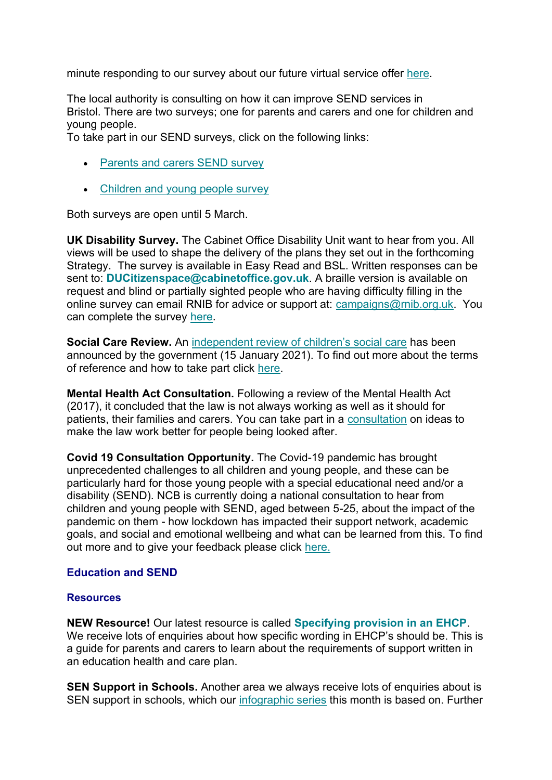minute responding to our survey about our future virtual service offer [here.](https://www.surveymonkey.co.uk/r/SPservicespostlockdown)

The local authority is consulting on how it can improve SEND services in Bristol. There are two surveys; one for parents and carers and one for children and young people.

To take part in our SEND surveys, click on the following links:

- [Parents and carers SEND survey](https://bristol.citizenspace.com/education-skills/send-parent-carer-spring-2021)
- [Children and young people survey](https://bristol.citizenspace.com/education-skills/send-children-and-young-people-survey-2021/)

Both surveys are open until 5 March.

**UK Disability Survey.** The Cabinet Office Disability Unit want to hear from you. All views will be used to shape the delivery of the plans they set out in the forthcoming Strategy. The survey is available in Easy Read and BSL. Written responses can be sent to: **[DUCitizenspace@cabinetoffice.gov.uk](mailto:DUCitizenspace@cabinetoffice.gov.uk)**. A braille version is available on request and blind or partially sighted people who are having difficulty filling in the online survey can email RNIB for advice or support at: [campaigns@rnib.org.uk.](mailto:campaigns@rnib.org.uk) You can complete the survey [here.](https://disabilityunit.citizenspace.com/cabinet-office/ukdisabilitysurvey/)

**Social Care Review.** An independent [review of children's social care](https://www.gov.uk/government/groups/independent-review-of-childrens-social-care) has been announced by the government (15 January 2021). To find out more about the terms of reference and how to take part click [here.](https://www.gov.uk/government/groups/independent-review-of-childrens-social-care)

**Mental Health Act Consultation.** Following a review of the Mental Health Act (2017), it concluded that the law is not always working as well as it should for patients, their families and carers. You can take part in a [consultation](https://www.gov.uk/government/consultations/reforming-the-mental-health-act) on ideas to make the law work better for people being looked after.

**Covid 19 Consultation Opportunity.** The Covid-19 pandemic has brought unprecedented challenges to all children and young people, and these can be particularly hard for those young people with a special educational need and/or a disability (SEND). NCB is currently doing a national consultation to hear from children and young people with SEND, aged between 5-25, about the impact of the pandemic on them - how lockdown has impacted their support network, academic goals, and social and emotional wellbeing and what can be learned from this. To find out more and to give your feedback please click [here.](https://councilfordisabledchildren.org.uk/news-opinion/news/covid-19-consultation-opportunity)

## **Education and SEND**

#### **Resources**

**NEW Resource!** Our latest resource is called **[Specifying provision in an EHCP](https://www.supportiveparents.org.uk/wp-content/uploads/2021/01/Specifying-provision-in-an-EHC-Plan.pdf)**. We receive lots of enquiries about how specific wording in EHCP's should be. This is a guide for parents and carers to learn about the requirements of support written in an education health and care plan.

**SEN Support in Schools.** Another area we always receive lots of enquiries about is SEN support in schools, which our [infographic series](https://www.supportiveparents.org.uk/resources/information-series/) this month is based on. Further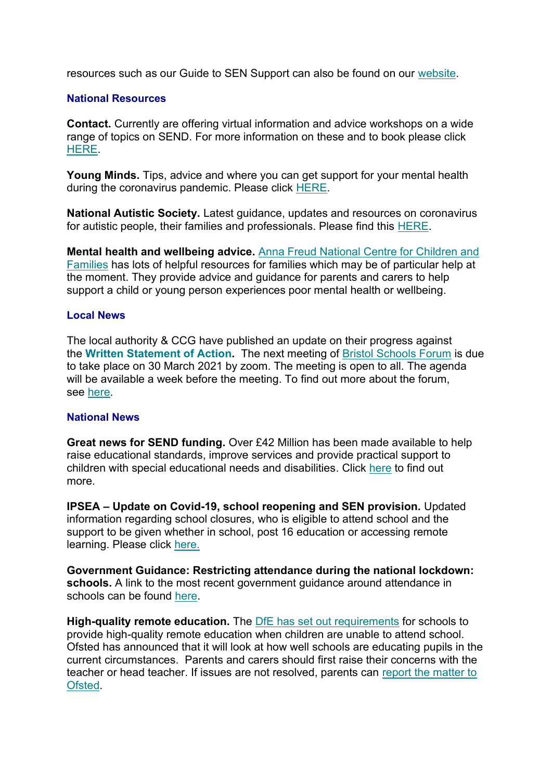resources such as our Guide to SEN Support can also be found on our [website.](https://www.supportiveparents.org.uk/wp-content/uploads/2020/02/3-SEN-Support-Bristol.pdf)

#### **National Resources**

**Contact.** Currently are offering virtual information and advice workshops on a wide range of topics on SEND. For more information on these and to book please click [HERE.](https://www.contact.org.uk/help-for-families/family-workshops-events/)

**Young Minds.** Tips, advice and where you can get support for your mental health during the coronavirus pandemic. Please click [HERE.](https://youngminds.org.uk/find-help/looking-after-yourself/coronavirus-and-mental-health/)

**National Autistic Society.** Latest guidance, updates and resources on coronavirus for autistic people, their families and professionals. Please find this [HERE.](https://www.autism.org.uk/advice-and-guidance/topics/coronavirus)

**Mental health and wellbeing advice.** [Anna Freud National Centre for Children and](https://www.annafreud.org/parents-and-carers/)  [Families](https://www.annafreud.org/parents-and-carers/) has lots of helpful resources for families which may be of particular help at the moment. They provide advice and guidance for parents and carers to help support a child or young person experiences poor mental health or wellbeing.

#### **Local News**

The local authority & CCG have published an update on their progress against the **[Written Statement of Action.](https://www.bristol.gov.uk/documents/2193095/3723863/Final+Bristol+Local+Area+WSoA+Update+for+publication+-+November+2020.pdf/f0be2e59-e8c1-f9bf-650e-cb0f9ff1c16d)** The next meeting of [Bristol Schools Forum](https://democracy.bristol.gov.uk/mgCommitteeDetails.aspx?ID=481) is due to take place on 30 March 2021 by zoom. The meeting is open to all. The agenda will be available a week before the meeting. To find out more about the forum, see [here.](https://www.bristol.gov.uk/resources-professionals/schools-forum)

#### **National News**

**Great news for SEND funding.** Over £42 Million has been made available to help raise educational standards, improve services and provide practical support to children with special educational needs and disabilities. Click [here](https://councilfordisabledchildren.org.uk/news-opinion/news/over-%C2%A342-million-support-extended-children-send) to find out more.

**IPSEA – Update on Covid-19, school reopening and SEN provision.** Updated information regarding school closures, who is eligible to attend school and the support to be given whether in school, post 16 education or accessing remote learning. Please click [here.](https://www.ipsea.org.uk/news/ipsea-update-on-covid-19-school-closures-and-sen-provision)

**Government Guidance: Restricting attendance during the national lockdown: schools.** A link to the most recent government guidance around attendance in schools can be found [here.](https://assets.publishing.service.gov.uk/government/uploads/system/uploads/attachment_data/file/958906/Restricting_attendance_during_the_national_lockdown_schools_guidance.pdf)

**High-quality remote education.** The DfE [has set out requirements](https://www.gov.uk/government/publications/actions-for-schools-during-the-coronavirus-outbreak) for schools to provide high-quality remote education when children are unable to attend school. Ofsted has announced that it will look at how well schools are educating pupils in the current circumstances. Parents and carers should first raise their concerns with the teacher or head teacher. If issues are not resolved, parents can [report the matter to](https://contact.ofsted.gov.uk/online-complaints)  [Ofsted.](https://contact.ofsted.gov.uk/online-complaints)